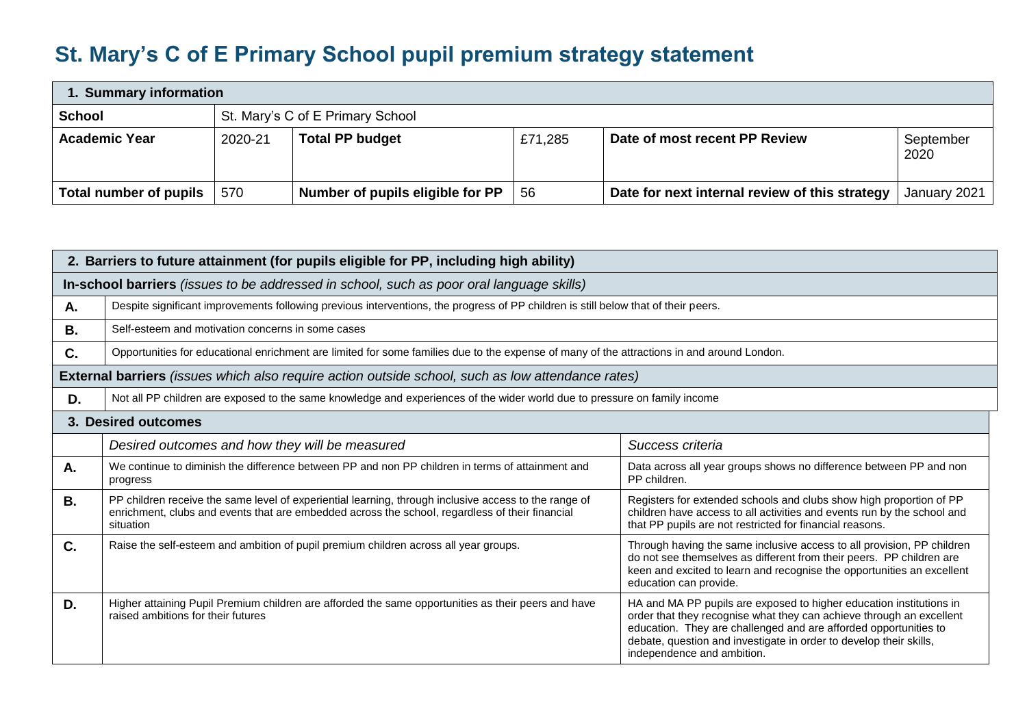## **St. Mary's C of E Primary School pupil premium strategy statement**

| 1. Summary information |                                  |                                  |         |                                                |                   |  |  |
|------------------------|----------------------------------|----------------------------------|---------|------------------------------------------------|-------------------|--|--|
| <b>School</b>          | St. Mary's C of E Primary School |                                  |         |                                                |                   |  |  |
| <b>Academic Year</b>   | 2020-21                          | <b>Total PP budget</b>           | £71,285 | Date of most recent PP Review                  | September<br>2020 |  |  |
| Total number of pupils | 570                              | Number of pupils eligible for PP | -56     | Date for next internal review of this strategy | January 2021      |  |  |

| 2. Barriers to future attainment (for pupils eligible for PP, including high ability)      |                                                                                                                                                                                                                       |                                                                                                                                                                                                                                                                                                                     |  |  |  |  |  |  |
|--------------------------------------------------------------------------------------------|-----------------------------------------------------------------------------------------------------------------------------------------------------------------------------------------------------------------------|---------------------------------------------------------------------------------------------------------------------------------------------------------------------------------------------------------------------------------------------------------------------------------------------------------------------|--|--|--|--|--|--|
| In-school barriers (issues to be addressed in school, such as poor oral language skills)   |                                                                                                                                                                                                                       |                                                                                                                                                                                                                                                                                                                     |  |  |  |  |  |  |
| А.                                                                                         | Despite significant improvements following previous interventions, the progress of PP children is still below that of their peers.                                                                                    |                                                                                                                                                                                                                                                                                                                     |  |  |  |  |  |  |
| <b>B.</b>                                                                                  | Self-esteem and motivation concerns in some cases                                                                                                                                                                     |                                                                                                                                                                                                                                                                                                                     |  |  |  |  |  |  |
| C.                                                                                         | Opportunities for educational enrichment are limited for some families due to the expense of many of the attractions in and around London.                                                                            |                                                                                                                                                                                                                                                                                                                     |  |  |  |  |  |  |
|                                                                                            | <b>External barriers</b> (issues which also require action outside school, such as low attendance rates)                                                                                                              |                                                                                                                                                                                                                                                                                                                     |  |  |  |  |  |  |
| D.                                                                                         | Not all PP children are exposed to the same knowledge and experiences of the wider world due to pressure on family income                                                                                             |                                                                                                                                                                                                                                                                                                                     |  |  |  |  |  |  |
|                                                                                            | 3. Desired outcomes                                                                                                                                                                                                   |                                                                                                                                                                                                                                                                                                                     |  |  |  |  |  |  |
|                                                                                            | Desired outcomes and how they will be measured                                                                                                                                                                        | Success criteria                                                                                                                                                                                                                                                                                                    |  |  |  |  |  |  |
| А.                                                                                         | We continue to diminish the difference between PP and non PP children in terms of attainment and<br>progress                                                                                                          | Data across all year groups shows no difference between PP and non<br>PP children.                                                                                                                                                                                                                                  |  |  |  |  |  |  |
| <b>B.</b>                                                                                  | PP children receive the same level of experiential learning, through inclusive access to the range of<br>enrichment, clubs and events that are embedded across the school, regardless of their financial<br>situation | Registers for extended schools and clubs show high proportion of PP<br>children have access to all activities and events run by the school and<br>that PP pupils are not restricted for financial reasons.                                                                                                          |  |  |  |  |  |  |
| C.<br>Raise the self-esteem and ambition of pupil premium children across all year groups. |                                                                                                                                                                                                                       | Through having the same inclusive access to all provision, PP children<br>do not see themselves as different from their peers. PP children are<br>keen and excited to learn and recognise the opportunities an excellent<br>education can provide.                                                                  |  |  |  |  |  |  |
| D.                                                                                         | Higher attaining Pupil Premium children are afforded the same opportunities as their peers and have<br>raised ambitions for their futures                                                                             | HA and MA PP pupils are exposed to higher education institutions in<br>order that they recognise what they can achieve through an excellent<br>education. They are challenged and are afforded opportunities to<br>debate, question and investigate in order to develop their skills,<br>independence and ambition. |  |  |  |  |  |  |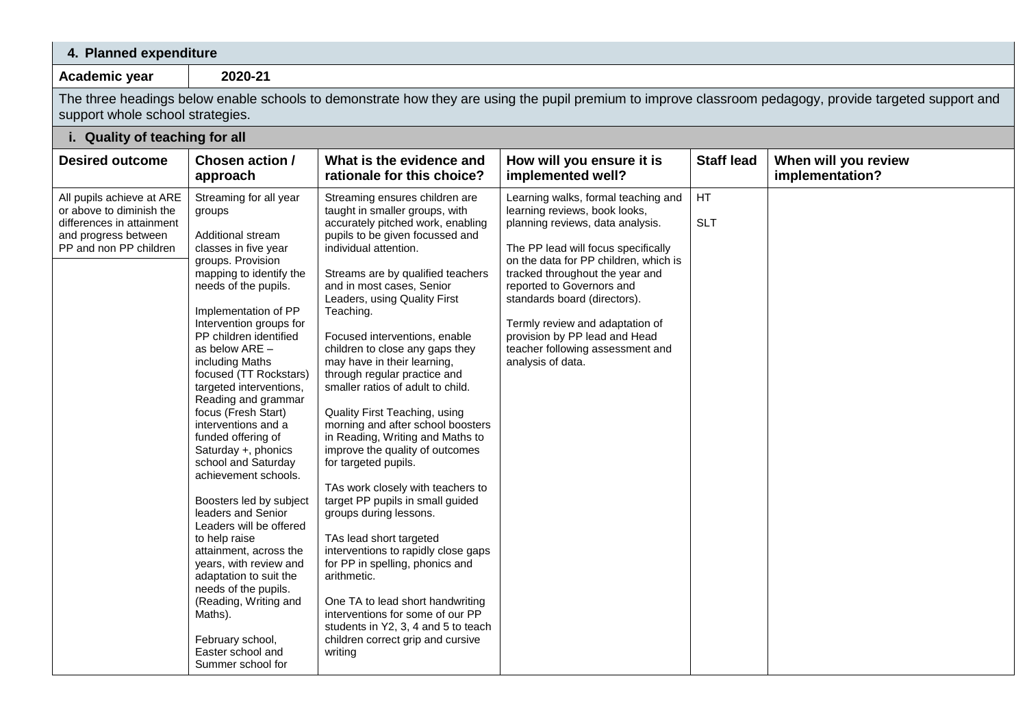## **4. Planned expenditure**

**Academic year 2020-21**

The three headings below enable schools to demonstrate how they are using the pupil premium to improve classroom pedagogy, provide targeted support and support whole school strategies.

## **i. Quality of teaching for all**

| <b>Desired outcome</b>                                                                                                               | <b>Chosen action /</b><br>approach                                                                                                                                                                                                                                                                                                                                                                                                                                                                                                                                                                                                                                                                                                                                                                 | What is the evidence and<br>rationale for this choice?                                                                                                                                                                                                                                                                                                                                                                                                                                                                                                                                                                                                                                                                                                                                                                                                                                                                                                                                                              | How will you ensure it is<br>implemented well?                                                                                                                                                                                                                                                                                                                                                                        | <b>Staff lead</b> | When will you review<br>implementation? |
|--------------------------------------------------------------------------------------------------------------------------------------|----------------------------------------------------------------------------------------------------------------------------------------------------------------------------------------------------------------------------------------------------------------------------------------------------------------------------------------------------------------------------------------------------------------------------------------------------------------------------------------------------------------------------------------------------------------------------------------------------------------------------------------------------------------------------------------------------------------------------------------------------------------------------------------------------|---------------------------------------------------------------------------------------------------------------------------------------------------------------------------------------------------------------------------------------------------------------------------------------------------------------------------------------------------------------------------------------------------------------------------------------------------------------------------------------------------------------------------------------------------------------------------------------------------------------------------------------------------------------------------------------------------------------------------------------------------------------------------------------------------------------------------------------------------------------------------------------------------------------------------------------------------------------------------------------------------------------------|-----------------------------------------------------------------------------------------------------------------------------------------------------------------------------------------------------------------------------------------------------------------------------------------------------------------------------------------------------------------------------------------------------------------------|-------------------|-----------------------------------------|
| All pupils achieve at ARE<br>or above to diminish the<br>differences in attainment<br>and progress between<br>PP and non PP children | Streaming for all year<br>groups<br>Additional stream<br>classes in five year<br>groups. Provision<br>mapping to identify the<br>needs of the pupils.<br>Implementation of PP<br>Intervention groups for<br>PP children identified<br>as below ARE -<br>including Maths<br>focused (TT Rockstars)<br>targeted interventions,<br>Reading and grammar<br>focus (Fresh Start)<br>interventions and a<br>funded offering of<br>Saturday +, phonics<br>school and Saturday<br>achievement schools.<br>Boosters led by subject<br>leaders and Senior<br>Leaders will be offered<br>to help raise<br>attainment, across the<br>years, with review and<br>adaptation to suit the<br>needs of the pupils.<br>(Reading, Writing and<br>Maths).<br>February school,<br>Easter school and<br>Summer school for | Streaming ensures children are<br>taught in smaller groups, with<br>accurately pitched work, enabling<br>pupils to be given focussed and<br>individual attention.<br>Streams are by qualified teachers<br>and in most cases, Senior<br>Leaders, using Quality First<br>Teaching.<br>Focused interventions, enable<br>children to close any gaps they<br>may have in their learning,<br>through regular practice and<br>smaller ratios of adult to child.<br>Quality First Teaching, using<br>morning and after school boosters<br>in Reading, Writing and Maths to<br>improve the quality of outcomes<br>for targeted pupils.<br>TAs work closely with teachers to<br>target PP pupils in small guided<br>groups during lessons.<br>TAs lead short targeted<br>interventions to rapidly close gaps<br>for PP in spelling, phonics and<br>arithmetic.<br>One TA to lead short handwriting<br>interventions for some of our PP<br>students in Y2, 3, 4 and 5 to teach<br>children correct grip and cursive<br>writing | Learning walks, formal teaching and<br>learning reviews, book looks,<br>planning reviews, data analysis.<br>The PP lead will focus specifically<br>on the data for PP children, which is<br>tracked throughout the year and<br>reported to Governors and<br>standards board (directors).<br>Termly review and adaptation of<br>provision by PP lead and Head<br>teacher following assessment and<br>analysis of data. | HT<br><b>SLT</b>  |                                         |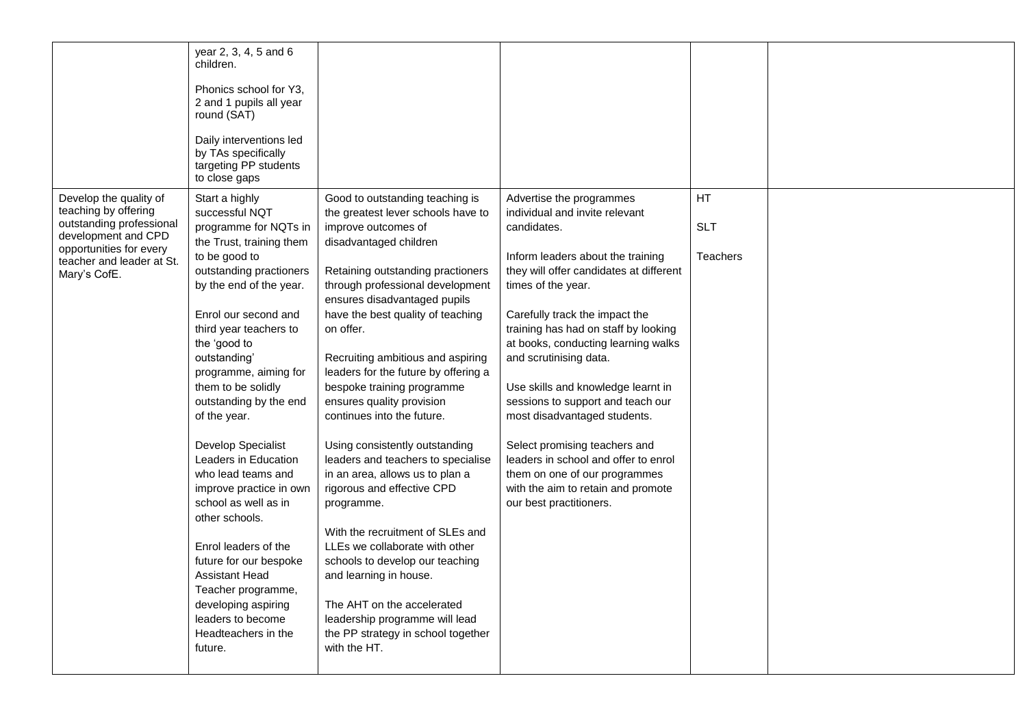|                                                                                                                                                                           | year 2, 3, 4, 5 and 6<br>children.<br>Phonics school for Y3.<br>2 and 1 pupils all year<br>round (SAT)<br>Daily interventions led<br>by TAs specifically<br>targeting PP students<br>to close gaps                                                                                                                                                                                                                                                                                                                                                                                                                                                       |                                                                                                                                                                                                                                                                                                                                                                                                                                                                                                                                                                                                                                                                                                                                                                                                                                                                         |                                                                                                                                                                                                                                                                                                                                                                                                                                                                                                                                                                                                                  |                                            |  |
|---------------------------------------------------------------------------------------------------------------------------------------------------------------------------|----------------------------------------------------------------------------------------------------------------------------------------------------------------------------------------------------------------------------------------------------------------------------------------------------------------------------------------------------------------------------------------------------------------------------------------------------------------------------------------------------------------------------------------------------------------------------------------------------------------------------------------------------------|-------------------------------------------------------------------------------------------------------------------------------------------------------------------------------------------------------------------------------------------------------------------------------------------------------------------------------------------------------------------------------------------------------------------------------------------------------------------------------------------------------------------------------------------------------------------------------------------------------------------------------------------------------------------------------------------------------------------------------------------------------------------------------------------------------------------------------------------------------------------------|------------------------------------------------------------------------------------------------------------------------------------------------------------------------------------------------------------------------------------------------------------------------------------------------------------------------------------------------------------------------------------------------------------------------------------------------------------------------------------------------------------------------------------------------------------------------------------------------------------------|--------------------------------------------|--|
| Develop the quality of<br>teaching by offering<br>outstanding professional<br>development and CPD<br>opportunities for every<br>teacher and leader at St.<br>Mary's CofE. | Start a highly<br>successful NQT<br>programme for NQTs in<br>the Trust, training them<br>to be good to<br>outstanding practioners<br>by the end of the year.<br>Enrol our second and<br>third year teachers to<br>the 'good to<br>outstanding'<br>programme, aiming for<br>them to be solidly<br>outstanding by the end<br>of the year.<br>Develop Specialist<br>Leaders in Education<br>who lead teams and<br>improve practice in own<br>school as well as in<br>other schools.<br>Enrol leaders of the<br>future for our bespoke<br>Assistant Head<br>Teacher programme,<br>developing aspiring<br>leaders to become<br>Headteachers in the<br>future. | Good to outstanding teaching is<br>the greatest lever schools have to<br>improve outcomes of<br>disadvantaged children<br>Retaining outstanding practioners<br>through professional development<br>ensures disadvantaged pupils<br>have the best quality of teaching<br>on offer.<br>Recruiting ambitious and aspiring<br>leaders for the future by offering a<br>bespoke training programme<br>ensures quality provision<br>continues into the future.<br>Using consistently outstanding<br>leaders and teachers to specialise<br>in an area, allows us to plan a<br>rigorous and effective CPD<br>programme.<br>With the recruitment of SLEs and<br>LLEs we collaborate with other<br>schools to develop our teaching<br>and learning in house.<br>The AHT on the accelerated<br>leadership programme will lead<br>the PP strategy in school together<br>with the HT. | Advertise the programmes<br>individual and invite relevant<br>candidates.<br>Inform leaders about the training<br>they will offer candidates at different<br>times of the year.<br>Carefully track the impact the<br>training has had on staff by looking<br>at books, conducting learning walks<br>and scrutinising data.<br>Use skills and knowledge learnt in<br>sessions to support and teach our<br>most disadvantaged students.<br>Select promising teachers and<br>leaders in school and offer to enrol<br>them on one of our programmes<br>with the aim to retain and promote<br>our best practitioners. | <b>HT</b><br><b>SLT</b><br><b>Teachers</b> |  |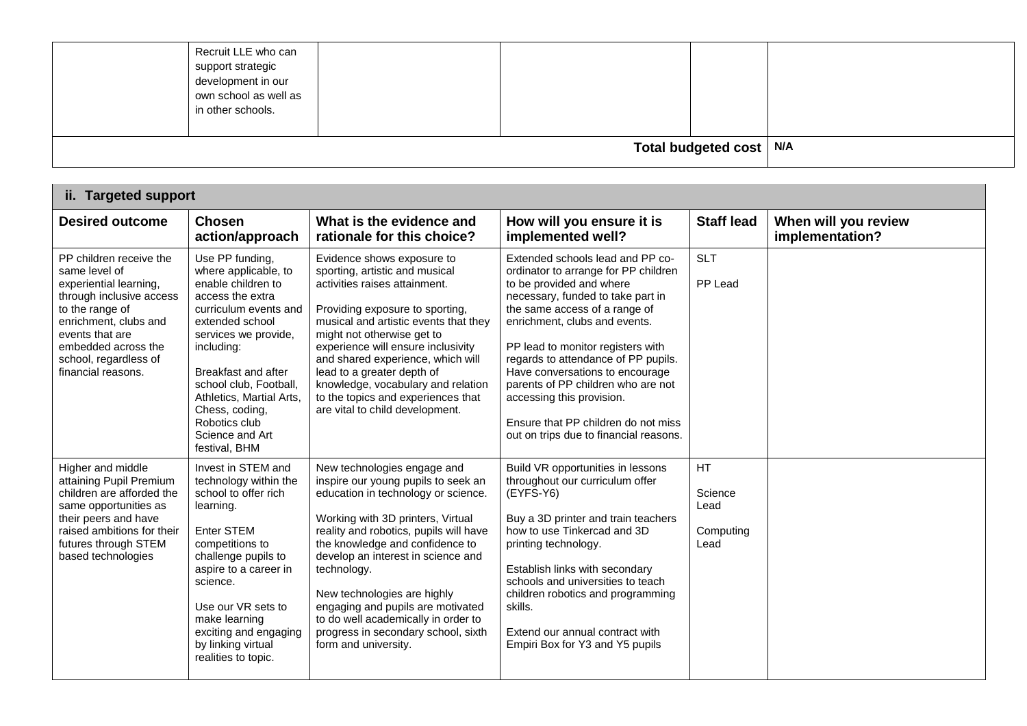|                                                                                                              |  | Total budgeted cost $\vert$ N/A |  |
|--------------------------------------------------------------------------------------------------------------|--|---------------------------------|--|
| Recruit LLE who can<br>support strategic<br>development in our<br>own school as well as<br>in other schools. |  |                                 |  |

| ii. Targeted support                                                                                                                                                                                                                |                                                                                                                                                                                                                                                                                                                                |                                                                                                                                                                                                                                                                                                                                                                                                                                                            |                                                                                                                                                                                                                                                                                                                                                                                                                                                                                |                                            |                                         |
|-------------------------------------------------------------------------------------------------------------------------------------------------------------------------------------------------------------------------------------|--------------------------------------------------------------------------------------------------------------------------------------------------------------------------------------------------------------------------------------------------------------------------------------------------------------------------------|------------------------------------------------------------------------------------------------------------------------------------------------------------------------------------------------------------------------------------------------------------------------------------------------------------------------------------------------------------------------------------------------------------------------------------------------------------|--------------------------------------------------------------------------------------------------------------------------------------------------------------------------------------------------------------------------------------------------------------------------------------------------------------------------------------------------------------------------------------------------------------------------------------------------------------------------------|--------------------------------------------|-----------------------------------------|
| <b>Desired outcome</b>                                                                                                                                                                                                              | <b>Chosen</b><br>action/approach                                                                                                                                                                                                                                                                                               | What is the evidence and<br>rationale for this choice?                                                                                                                                                                                                                                                                                                                                                                                                     | How will you ensure it is<br>implemented well?                                                                                                                                                                                                                                                                                                                                                                                                                                 | <b>Staff lead</b>                          | When will you review<br>implementation? |
| PP children receive the<br>same level of<br>experiential learning,<br>through inclusive access<br>to the range of<br>enrichment, clubs and<br>events that are<br>embedded across the<br>school, regardless of<br>financial reasons. | Use PP funding,<br>where applicable, to<br>enable children to<br>access the extra<br>curriculum events and<br>extended school<br>services we provide,<br>including:<br><b>Breakfast and after</b><br>school club, Football,<br>Athletics, Martial Arts,<br>Chess, coding,<br>Robotics club<br>Science and Art<br>festival, BHM | Evidence shows exposure to<br>sporting, artistic and musical<br>activities raises attainment.<br>Providing exposure to sporting,<br>musical and artistic events that they<br>might not otherwise get to<br>experience will ensure inclusivity<br>and shared experience, which will<br>lead to a greater depth of<br>knowledge, vocabulary and relation<br>to the topics and experiences that<br>are vital to child development.                            | Extended schools lead and PP co-<br>ordinator to arrange for PP children<br>to be provided and where<br>necessary, funded to take part in<br>the same access of a range of<br>enrichment, clubs and events.<br>PP lead to monitor registers with<br>regards to attendance of PP pupils.<br>Have conversations to encourage<br>parents of PP children who are not<br>accessing this provision.<br>Ensure that PP children do not miss<br>out on trips due to financial reasons. | <b>SLT</b><br>PP Lead                      |                                         |
| Higher and middle<br>attaining Pupil Premium<br>children are afforded the<br>same opportunities as<br>their peers and have<br>raised ambitions for their<br>futures through STEM<br>based technologies                              | Invest in STEM and<br>technology within the<br>school to offer rich<br>learning.<br><b>Enter STEM</b><br>competitions to<br>challenge pupils to<br>aspire to a career in<br>science.<br>Use our VR sets to<br>make learning<br>exciting and engaging<br>by linking virtual<br>realities to topic.                              | New technologies engage and<br>inspire our young pupils to seek an<br>education in technology or science.<br>Working with 3D printers, Virtual<br>reality and robotics, pupils will have<br>the knowledge and confidence to<br>develop an interest in science and<br>technology.<br>New technologies are highly<br>engaging and pupils are motivated<br>to do well academically in order to<br>progress in secondary school, sixth<br>form and university. | Build VR opportunities in lessons<br>throughout our curriculum offer<br>$(EYFS-Y6)$<br>Buy a 3D printer and train teachers<br>how to use Tinkercad and 3D<br>printing technology.<br>Establish links with secondary<br>schools and universities to teach<br>children robotics and programming<br>skills.<br>Extend our annual contract with<br>Empiri Box for Y3 and Y5 pupils                                                                                                 | HT<br>Science<br>Lead<br>Computing<br>Lead |                                         |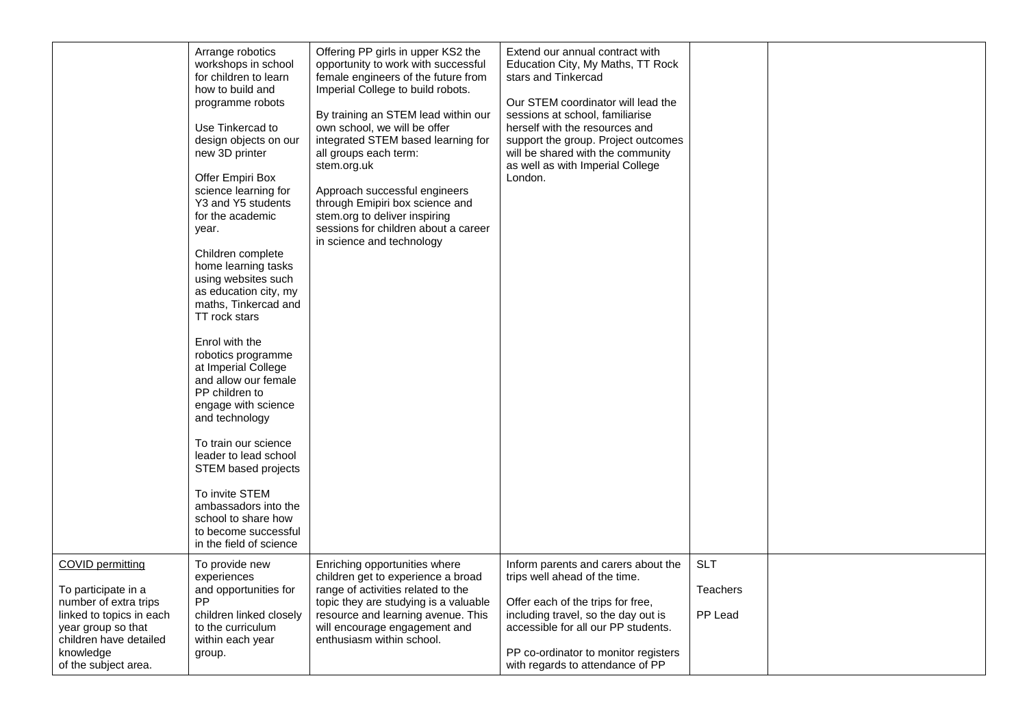|                                                                                                                                                                                          | Arrange robotics<br>workshops in school<br>for children to learn<br>how to build and<br>programme robots<br>Use Tinkercad to<br>design objects on our<br>new 3D printer<br>Offer Empiri Box<br>science learning for<br>Y3 and Y5 students<br>for the academic<br>year.<br>Children complete<br>home learning tasks<br>using websites such<br>as education city, my<br>maths, Tinkercad and<br>TT rock stars<br>Enrol with the<br>robotics programme<br>at Imperial College<br>and allow our female<br>PP children to<br>engage with science<br>and technology<br>To train our science<br>leader to lead school<br>STEM based projects<br>To invite STEM<br>ambassadors into the<br>school to share how<br>to become successful<br>in the field of science | Offering PP girls in upper KS2 the<br>opportunity to work with successful<br>female engineers of the future from<br>Imperial College to build robots.<br>By training an STEM lead within our<br>own school, we will be offer<br>integrated STEM based learning for<br>all groups each term:<br>stem.org.uk<br>Approach successful engineers<br>through Emipiri box science and<br>stem.org to deliver inspiring<br>sessions for children about a career<br>in science and technology | Extend our annual contract with<br>Education City, My Maths, TT Rock<br>stars and Tinkercad<br>Our STEM coordinator will lead the<br>sessions at school, familiarise<br>herself with the resources and<br>support the group. Project outcomes<br>will be shared with the community<br>as well as with Imperial College<br>London. |                                          |  |
|------------------------------------------------------------------------------------------------------------------------------------------------------------------------------------------|-----------------------------------------------------------------------------------------------------------------------------------------------------------------------------------------------------------------------------------------------------------------------------------------------------------------------------------------------------------------------------------------------------------------------------------------------------------------------------------------------------------------------------------------------------------------------------------------------------------------------------------------------------------------------------------------------------------------------------------------------------------|--------------------------------------------------------------------------------------------------------------------------------------------------------------------------------------------------------------------------------------------------------------------------------------------------------------------------------------------------------------------------------------------------------------------------------------------------------------------------------------|-----------------------------------------------------------------------------------------------------------------------------------------------------------------------------------------------------------------------------------------------------------------------------------------------------------------------------------|------------------------------------------|--|
| <b>COVID permitting</b><br>To participate in a<br>number of extra trips<br>linked to topics in each<br>year group so that<br>children have detailed<br>knowledge<br>of the subject area. | To provide new<br>experiences<br>and opportunities for<br><b>PP</b><br>children linked closely<br>to the curriculum<br>within each year<br>group.                                                                                                                                                                                                                                                                                                                                                                                                                                                                                                                                                                                                         | Enriching opportunities where<br>children get to experience a broad<br>range of activities related to the<br>topic they are studying is a valuable<br>resource and learning avenue. This<br>will encourage engagement and<br>enthusiasm within school.                                                                                                                                                                                                                               | Inform parents and carers about the<br>trips well ahead of the time.<br>Offer each of the trips for free,<br>including travel, so the day out is<br>accessible for all our PP students.<br>PP co-ordinator to monitor registers<br>with regards to attendance of PP                                                               | <b>SLT</b><br><b>Teachers</b><br>PP Lead |  |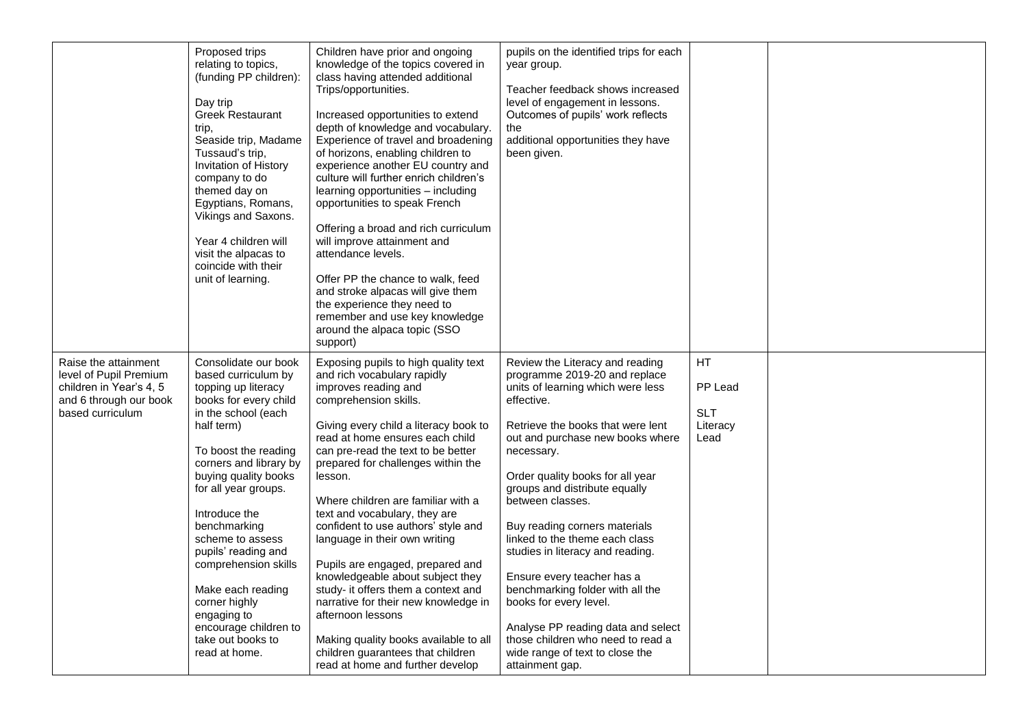|                                                                                                                         | Proposed trips<br>relating to topics,<br>(funding PP children):<br>Day trip<br><b>Greek Restaurant</b><br>trip,<br>Seaside trip, Madame<br>Tussaud's trip,<br>Invitation of History<br>company to do<br>themed day on<br>Egyptians, Romans,<br>Vikings and Saxons.<br>Year 4 children will<br>visit the alpacas to<br>coincide with their<br>unit of learning.                                                                                             | Children have prior and ongoing<br>knowledge of the topics covered in<br>class having attended additional<br>Trips/opportunities.<br>Increased opportunities to extend<br>depth of knowledge and vocabulary.<br>Experience of travel and broadening<br>of horizons, enabling children to<br>experience another EU country and<br>culture will further enrich children's<br>learning opportunities - including<br>opportunities to speak French<br>Offering a broad and rich curriculum<br>will improve attainment and<br>attendance levels.<br>Offer PP the chance to walk, feed<br>and stroke alpacas will give them<br>the experience they need to<br>remember and use key knowledge<br>around the alpaca topic (SSO<br>support)   | pupils on the identified trips for each<br>year group.<br>Teacher feedback shows increased<br>level of engagement in lessons.<br>Outcomes of pupils' work reflects<br>the<br>additional opportunities they have<br>been given.                                                                                                                                                                                                                                                                                                                                                                                                          |                                                  |  |
|-------------------------------------------------------------------------------------------------------------------------|------------------------------------------------------------------------------------------------------------------------------------------------------------------------------------------------------------------------------------------------------------------------------------------------------------------------------------------------------------------------------------------------------------------------------------------------------------|--------------------------------------------------------------------------------------------------------------------------------------------------------------------------------------------------------------------------------------------------------------------------------------------------------------------------------------------------------------------------------------------------------------------------------------------------------------------------------------------------------------------------------------------------------------------------------------------------------------------------------------------------------------------------------------------------------------------------------------|-----------------------------------------------------------------------------------------------------------------------------------------------------------------------------------------------------------------------------------------------------------------------------------------------------------------------------------------------------------------------------------------------------------------------------------------------------------------------------------------------------------------------------------------------------------------------------------------------------------------------------------------|--------------------------------------------------|--|
| Raise the attainment<br>level of Pupil Premium<br>children in Year's 4, 5<br>and 6 through our book<br>based curriculum | Consolidate our book<br>based curriculum by<br>topping up literacy<br>books for every child<br>in the school (each<br>half term)<br>To boost the reading<br>corners and library by<br>buying quality books<br>for all year groups.<br>Introduce the<br>benchmarking<br>scheme to assess<br>pupils' reading and<br>comprehension skills<br>Make each reading<br>corner highly<br>engaging to<br>encourage children to<br>take out books to<br>read at home. | Exposing pupils to high quality text<br>and rich vocabulary rapidly<br>improves reading and<br>comprehension skills.<br>Giving every child a literacy book to<br>read at home ensures each child<br>can pre-read the text to be better<br>prepared for challenges within the<br>lesson.<br>Where children are familiar with a<br>text and vocabulary, they are<br>confident to use authors' style and<br>language in their own writing<br>Pupils are engaged, prepared and<br>knowledgeable about subject they<br>study- it offers them a context and<br>narrative for their new knowledge in<br>afternoon lessons<br>Making quality books available to all<br>children guarantees that children<br>read at home and further develop | Review the Literacy and reading<br>programme 2019-20 and replace<br>units of learning which were less<br>effective.<br>Retrieve the books that were lent<br>out and purchase new books where<br>necessary.<br>Order quality books for all year<br>groups and distribute equally<br>between classes.<br>Buy reading corners materials<br>linked to the theme each class<br>studies in literacy and reading.<br>Ensure every teacher has a<br>benchmarking folder with all the<br>books for every level.<br>Analyse PP reading data and select<br>those children who need to read a<br>wide range of text to close the<br>attainment gap. | HT.<br>PP Lead<br><b>SLT</b><br>Literacy<br>Lead |  |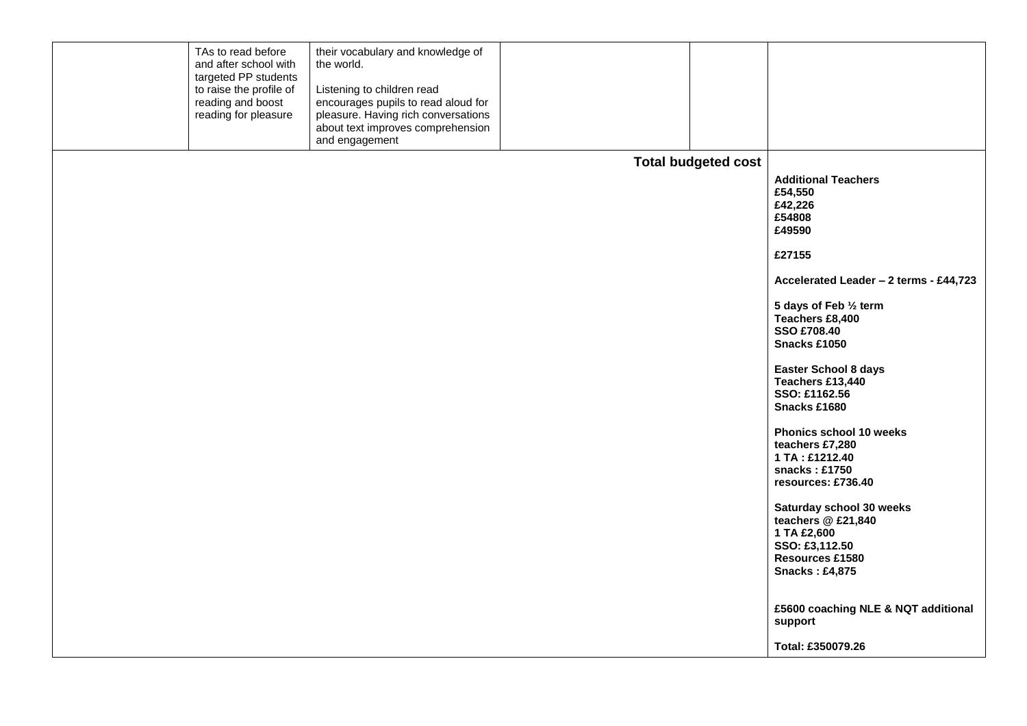|  | TAs to read before<br>and after school with<br>targeted PP students<br>to raise the profile of<br>reading and boost<br>reading for pleasure | their vocabulary and knowledge of<br>the world.<br>Listening to children read<br>encourages pupils to read aloud for<br>pleasure. Having rich conversations<br>about text improves comprehension<br>and engagement |                            |                                                                                                                                                                                                                                                                                                                                                                                                                                                                                                                                         |
|--|---------------------------------------------------------------------------------------------------------------------------------------------|--------------------------------------------------------------------------------------------------------------------------------------------------------------------------------------------------------------------|----------------------------|-----------------------------------------------------------------------------------------------------------------------------------------------------------------------------------------------------------------------------------------------------------------------------------------------------------------------------------------------------------------------------------------------------------------------------------------------------------------------------------------------------------------------------------------|
|  |                                                                                                                                             |                                                                                                                                                                                                                    |                            |                                                                                                                                                                                                                                                                                                                                                                                                                                                                                                                                         |
|  |                                                                                                                                             |                                                                                                                                                                                                                    | <b>Total budgeted cost</b> | <b>Additional Teachers</b><br>£54,550<br>£42,226<br>£54808<br>£49590<br>£27155<br>Accelerated Leader - 2 terms - £44,723<br>5 days of Feb 1/2 term<br>Teachers £8,400<br><b>SSO £708.40</b><br>Snacks £1050<br><b>Easter School 8 days</b><br>Teachers £13,440<br>SSO: £1162.56<br>Snacks £1680<br>Phonics school 10 weeks<br>teachers £7,280<br>1 TA: £1212.40<br>snacks: $£1750$<br>resources: £736.40<br>Saturday school 30 weeks<br>teachers @ £21,840<br>1 TA £2,600<br>SSO: £3,112.50<br>Resources £1580<br><b>Snacks: £4,875</b> |
|  |                                                                                                                                             |                                                                                                                                                                                                                    |                            | £5600 coaching NLE & NQT additional<br>support                                                                                                                                                                                                                                                                                                                                                                                                                                                                                          |
|  |                                                                                                                                             |                                                                                                                                                                                                                    |                            | Total: £350079.26                                                                                                                                                                                                                                                                                                                                                                                                                                                                                                                       |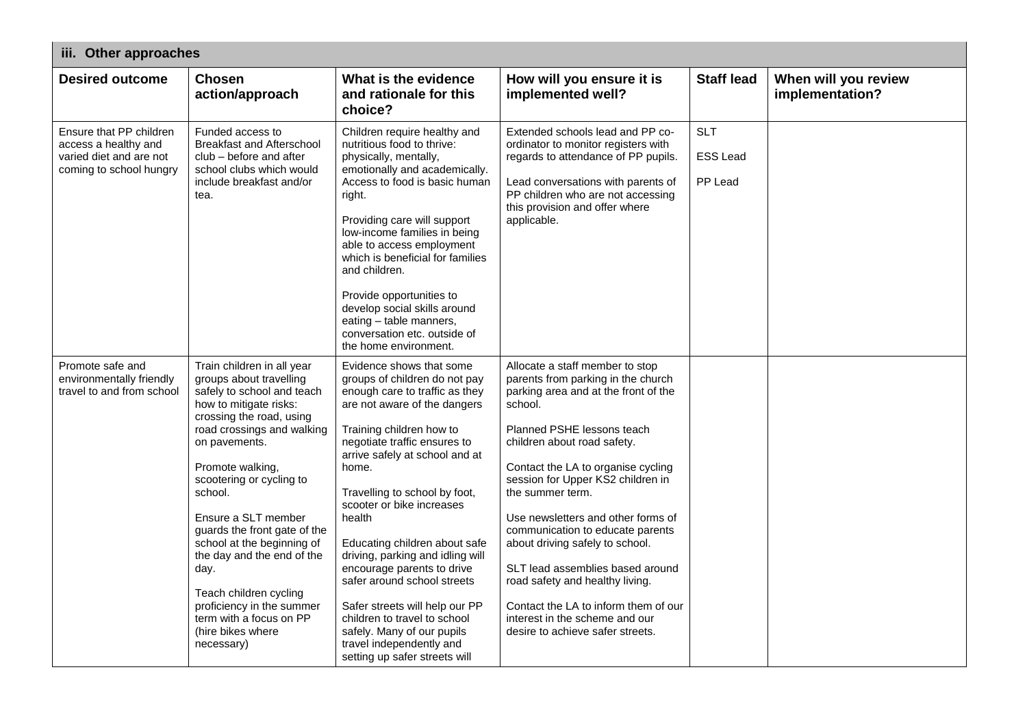| iii. Other approaches                                                                                 |                                                                                                                                                                                                                                                                                                                                                                                                                                                                                                     |                                                                                                                                                                                                                                                                                                                                                                                                                                                                                                                                                                                                           |                                                                                                                                                                                                                                                                                                                                                                                                                                                                                                                                                                                        |                                          |                                         |
|-------------------------------------------------------------------------------------------------------|-----------------------------------------------------------------------------------------------------------------------------------------------------------------------------------------------------------------------------------------------------------------------------------------------------------------------------------------------------------------------------------------------------------------------------------------------------------------------------------------------------|-----------------------------------------------------------------------------------------------------------------------------------------------------------------------------------------------------------------------------------------------------------------------------------------------------------------------------------------------------------------------------------------------------------------------------------------------------------------------------------------------------------------------------------------------------------------------------------------------------------|----------------------------------------------------------------------------------------------------------------------------------------------------------------------------------------------------------------------------------------------------------------------------------------------------------------------------------------------------------------------------------------------------------------------------------------------------------------------------------------------------------------------------------------------------------------------------------------|------------------------------------------|-----------------------------------------|
| <b>Desired outcome</b>                                                                                | <b>Chosen</b><br>action/approach                                                                                                                                                                                                                                                                                                                                                                                                                                                                    | What is the evidence<br>and rationale for this<br>choice?                                                                                                                                                                                                                                                                                                                                                                                                                                                                                                                                                 | How will you ensure it is<br>implemented well?                                                                                                                                                                                                                                                                                                                                                                                                                                                                                                                                         | <b>Staff lead</b>                        | When will you review<br>implementation? |
| Ensure that PP children<br>access a healthy and<br>varied diet and are not<br>coming to school hungry | Funded access to<br><b>Breakfast and Afterschool</b><br>club – before and after<br>school clubs which would<br>include breakfast and/or<br>tea.                                                                                                                                                                                                                                                                                                                                                     | Children require healthy and<br>nutritious food to thrive:<br>physically, mentally,<br>emotionally and academically.<br>Access to food is basic human<br>right.<br>Providing care will support<br>low-income families in being<br>able to access employment<br>which is beneficial for families<br>and children.<br>Provide opportunities to<br>develop social skills around<br>eating - table manners,<br>conversation etc. outside of<br>the home environment.                                                                                                                                          | Extended schools lead and PP co-<br>ordinator to monitor registers with<br>regards to attendance of PP pupils.<br>Lead conversations with parents of<br>PP children who are not accessing<br>this provision and offer where<br>applicable.                                                                                                                                                                                                                                                                                                                                             | <b>SLT</b><br><b>ESS Lead</b><br>PP Lead |                                         |
| Promote safe and<br>environmentally friendly<br>travel to and from school                             | Train children in all year<br>groups about travelling<br>safely to school and teach<br>how to mitigate risks:<br>crossing the road, using<br>road crossings and walking<br>on pavements.<br>Promote walking,<br>scootering or cycling to<br>school.<br>Ensure a SLT member<br>guards the front gate of the<br>school at the beginning of<br>the day and the end of the<br>day.<br>Teach children cycling<br>proficiency in the summer<br>term with a focus on PP<br>(hire bikes where<br>necessary) | Evidence shows that some<br>groups of children do not pay<br>enough care to traffic as they<br>are not aware of the dangers<br>Training children how to<br>negotiate traffic ensures to<br>arrive safely at school and at<br>home.<br>Travelling to school by foot,<br>scooter or bike increases<br>health<br>Educating children about safe<br>driving, parking and idling will<br>encourage parents to drive<br>safer around school streets<br>Safer streets will help our PP<br>children to travel to school<br>safely. Many of our pupils<br>travel independently and<br>setting up safer streets will | Allocate a staff member to stop<br>parents from parking in the church<br>parking area and at the front of the<br>school.<br>Planned PSHE lessons teach<br>children about road safety.<br>Contact the LA to organise cycling<br>session for Upper KS2 children in<br>the summer term.<br>Use newsletters and other forms of<br>communication to educate parents<br>about driving safely to school.<br>SLT lead assemblies based around<br>road safety and healthy living.<br>Contact the LA to inform them of our<br>interest in the scheme and our<br>desire to achieve safer streets. |                                          |                                         |